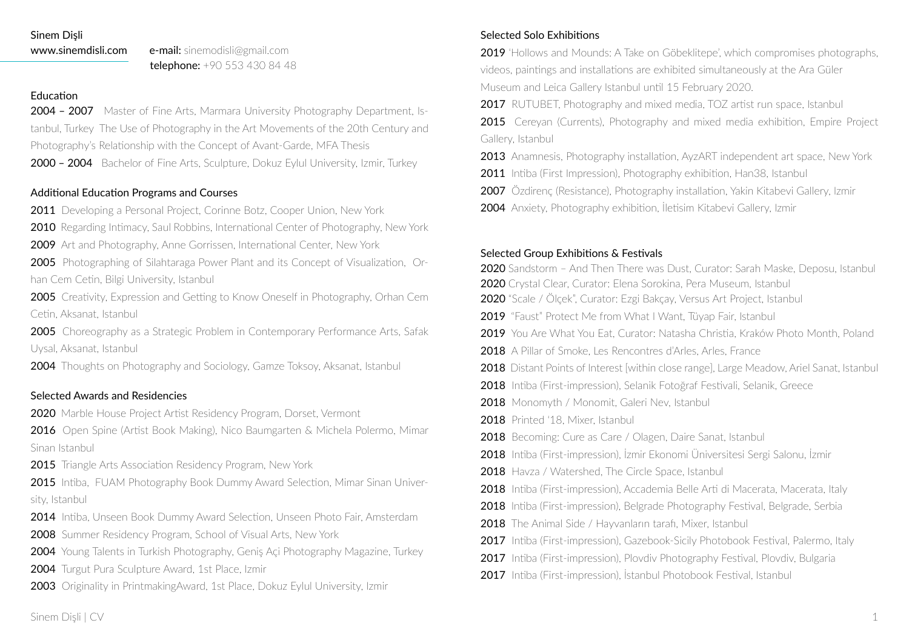#### Sinem Dişli

www.sinemdisli.com e-mail: sinemodisli@gmail.com telephone: +90 553 430 84 48

## Education

2004 – 2007 Master of Fine Arts, Marmara University Photography Department, Istanbul, Turkey The Use of Photography in the Art Movements of the 20th Century and Photography's Relationship with the Concept of Avant-Garde, MFA Thesis 2000 - 2004 Bachelor of Fine Arts, Sculpture, Dokuz Eylul University, Izmir, Turkey

# Additional Education Programs and Courses

2011 Developing a Personal Project, Corinne Botz, Cooper Union, New York

2010 Regarding Intimacy, Saul Robbins, International Center of Photography, New York

2009 Art and Photography, Anne Gorrissen, International Center, New York

2005 Photographing of Silahtaraga Power Plant and its Concept of Visualization, Orhan Cem Cetin, Bilgi University, Istanbul

2005 Creativity, Expression and Getting to Know Oneself in Photography, Orhan Cem Cetin, Aksanat, Istanbul

2005 Choreography as a Strategic Problem in Contemporary Performance Arts, Safak Uysal, Aksanat, Istanbul

2004 Thoughts on Photography and Sociology, Gamze Toksoy, Aksanat, Istanbul

# Selected Awards and Residencies

2020 Marble House Project Artist Residency Program, Dorset, Vermont

2016 Open Spine (Artist Book Making), Nico Baumgarten & Michela Polermo, Mimar Sinan Istanbul

2015 Triangle Arts Association Residency Program, New York

2015 Intiba, FUAM Photography Book Dummy Award Selection, Mimar Sinan University, Istanbul

- 2014 Intiba, Unseen Book Dummy Award Selection, Unseen Photo Fair, Amsterdam
- 2008 Summer Residency Program, School of Visual Arts, New York
- 2004 Young Talents in Turkish Photography, Geniş Açi Photography Magazine, Turkey
- 2004 Turgut Pura Sculpture Award, 1st Place, Izmir
- 2003 Originality in PrintmakingAward, 1st Place, Dokuz Eylul University, Izmir

# Selected Solo Exhibitions

2019 'Hollows and Mounds: A Take on Göbeklitepe', which compromises photographs, videos, paintings and installations are exhibited simultaneously at the Ara Güler Museum and Leica Gallery Istanbul until 15 February 2020.

2017 RUTUBET, Photography and mixed media, TOZ artist run space, Istanbul

2015 Cereyan (Currents), Photography and mixed media exhibition, Empire Project Gallery, Istanbul

2013 Anamnesis, Photography installation, AyzART independent art space, New York

- 2011 Intiba (First Impression), Photography exhibition, Han38, Istanbul
- 2007 Özdirenç (Resistance), Photography installation, Yakin Kitabevi Gallery, Izmir
- 2004 Anxiety, Photography exhibition, İletisim Kitabevi Gallery, İzmir

# Selected Group Exhibitions & Festivals

2020 Sandstorm – And Then There was Dust, Curator: Sarah Maske, Deposu, Istanbul

- 2020 Crystal Clear, Curator: Elena Sorokina, Pera Museum, Istanbul
- 2020 "Scale / Ölçek", Curator: Ezgi Bakçay, Versus Art Project, Istanbul
- 2019 "Faust" Protect Me from What I Want, Tüvap Fair, Istanbul
- 2019 You Are What You Eat, Curator: Natasha Christia, Kraków Photo Month, Poland
- 2018 A Pillar of Smoke, Les Rencontres d'Arles, Arles, France
- 2018 Distant Points of Interest [within close range], Large Meadow, Ariel Sanat, Istanbul
- 2018 Intiba (First-impression), Selanik Fotoğraf Festivali, Selanik, Greece
- 2018 Monomyth / Monomit, Galeri Nev, Istanbul
- 2018 Printed '18, Mixer, Istanbul
- 2018 Becoming: Cure as Care / Olagen, Daire Sanat, Istanbul
- 2018 Intiba (First-impression), İzmir Ekonomi Üniversitesi Sergi Salonu, İzmir
- 2018 Havza / Watershed, The Circle Space, Istanbul
- 2018 Intiba (First-impression), Accademia Belle Arti di Macerata, Macerata, Italy
- 2018 Intiba (First-impression), Belgrade Photography Festival, Belgrade, Serbia
- 2018 The Animal Side / Hayvanların tarafi, Mixer, Istanbul
- 2017 Intiba (First-impression), Gazebook-Sicily Photobook Festival, Palermo, Italy
- 2017 Intiba (First-impression), Plovdiv Photography Festival, Plovdiv, Bulgaria
- 2017 Intiba (First-impression), İstanbul Photobook Festival, İstanbul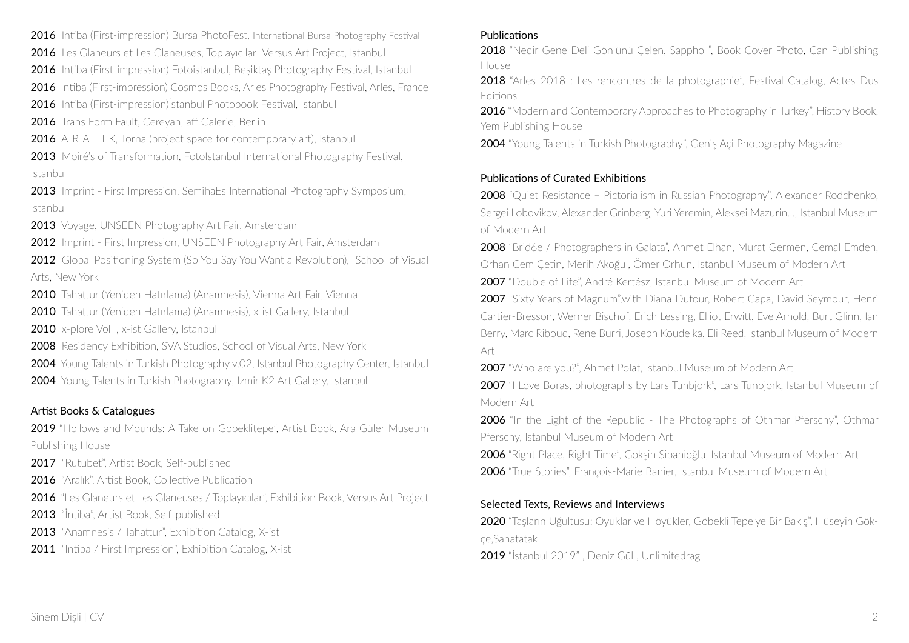2016 Intiba (First-impression) Bursa PhotoFest, International Bursa Photography Festival

2016 Les Glaneurs et Les Glaneuses, Toplayıcılar Versus Art Project, Istanbul

2016 Intiba (First-impression) Fotoistanbul, Beşiktaş Photography Festival, Istanbul

2016 Intiba (First-impression) Cosmos Books, Arles Photography Festival, Arles, France

2016 Intiba (First-impression)İstanbul Photobook Festival, Istanbul

2016 Trans Form Fault, Cerevan, aff Galerie, Berlin

2016 A-R-A-L-I-K, Torna (project space for contemporary art), Istanbul

2013 Moiré's of Transformation, Fotolstanbul International Photography Festival, Istanbul

2013 Imprint - First Impression, SemihaEs International Photography Symposium, Istanbul

2013 Voyage, UNSEEN Photography Art Fair, Amsterdam

2012 Imprint - First Impression, UNSEEN Photography Art Fair, Amsterdam

2012 Global Positioning System (So You Say You Want a Revolution), School of Visual Arts, New York

2010 Tahattur (Yeniden Hatırlama) (Anamnesis), Vienna Art Fair, Vienna

2010 Tahattur (Yeniden Hatırlama) (Anamnesis), x-ist Gallery, Istanbul

2010 x-plore Vol I, x-ist Gallery, Istanbul

2008 Residency Exhibition, SVA Studios, School of Visual Arts, New York

2004 Young Talents in Turkish Photography v.02, Istanbul Photography Center, Istanbul

2004 Young Talents in Turkish Photography, Izmir K2 Art Gallery, Istanbul

# Artist Books & Catalogues

2019 "Hollows and Mounds: A Take on Göbeklitepe", Artist Book, Ara Güler Museum Publishing House

2017 "Rutubet", Artist Book, Self-published

2016 "Aralık", Artist Book, Collective Publication

2016 "Les Glaneurs et Les Glaneuses / Toplayıcılar", Exhibition Book, Versus Art Project

2013 "İntiba", Artist Book, Self-published

2013 "Anamnesis / Tahattur", Exhibition Catalog, X-ist

2011 "Intiba / First Impression", Exhibition Catalog, X-ist

#### Publications

2018 "Nedir Gene Deli Gönlünü Celen, Sappho ", Book Cover Photo, Can Publishing House

2018 "Arles 2018 : Les rencontres de la photographie", Festival Catalog, Actes Dus **Editions** 

2016 "Modern and Contemporary Approaches to Photography in Turkey", History Book, Yem Publishing House

2004 "Young Talents in Turkish Photography", Geniş Açi Photography Magazine

#### Publications of Curated Exhibitions

2008 "Quiet Resistance – Pictorialism in Russian Photography", Alexander Rodchenko, Sergei Lobovikov, Alexander Grinberg, Yuri Yeremin, Aleksei Mazurin..., Istanbul Museum of Modern Art

2008 "Brid6e / Photographers in Galata", Ahmet Elhan, Murat Germen, Cemal Emden, Orhan Cem Çetin, Merih Akoğul, Ömer Orhun, Istanbul Museum of Modern Art

2007 "Double of Life", André Kertész, Istanbul Museum of Modern Art

2007 "Sixty Years of Magnum",with Diana Dufour, Robert Capa, David Seymour, Henri Cartier-Bresson, Werner Bischof, Erich Lessing, Elliot Erwitt, Eve Arnold, Burt Glinn, Ian Berry, Marc Riboud, Rene Burri, Joseph Koudelka, Eli Reed, Istanbul Museum of Modern Art

2007 "Who are you?". Ahmet Polat, Istanbul Museum of Modern Art

2007 "I Love Boras, photographs by Lars Tunbjörk", Lars Tunbjörk, Istanbul Museum of Modern Art

2006 "In the Light of the Republic - The Photographs of Othmar Pferschy", Othmar Pferschy, Istanbul Museum of Modern Art

2006 "Right Place, Right Time", Göksin Sipahioğlu, Istanbul Museum of Modern Art 2006 "True Stories", François-Marie Banier, Istanbul Museum of Modern Art

#### Selected Texts, Reviews and Interviews

2020 "Taşların Uğultusu: Oyuklar ve Höyükler, Göbekli Tepe'ye Bir Bakış", Hüseyin Gökçe,Sanatatak

2019 "İstanbul 2019", Deniz Gül, Unlimitedrag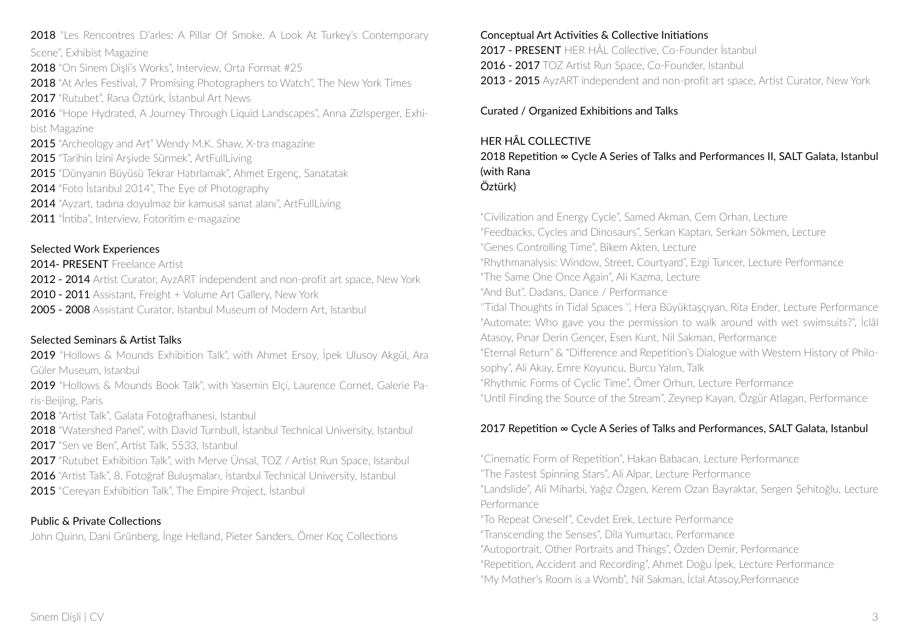2018 "Les Rencontres D'arles: A Pillar Of Smoke. A Look At Turkey's Contemporary Scene", Exhibist Magazine

2018 "On Sinem Disli's Works", Interview, Orta Format #25

2018 "At Arles Festival, 7 Promising Photographers to Watch", The New York Times 2017 "Rutubet", Rana Öztürk, İstanbul Art News

2016 "Hope Hydrated, A Journey Through Liquid Landscapes", Anna Zizlsperger, Exhibist Magazine

2015 "Archeology and Art" Wendy M.K. Shaw, X-tra magazine

2015 "Tarihin İzini Arşivde Sürmek", ArtFullLiving

2015 "Dünyanın Büyüsü Tekrar Hatırlamak", Ahmet Ergenç, Sanatatak

2014 "Foto İstanbul 2014". The Eye of Photography

2014 "Ayzart, tadına doyulmaz bir kamusal sanat alanı", ArtFullLiving

2011 "İntiba", Interview, Fotoritim e-magazine

## Selected Work Experiences

2014- PRESENT Freelance Artist

2012 - 2014 Artist Curator, AyzART independent and non-profit art space, New York

2010 - 2011 Assistant, Freight + Volume Art Gallery, New York

2005 - 2008 Assistant Curator, Istanbul Museum of Modern Art, Istanbul

# Selected Seminars & Artist Talks

2019 "Hollows & Mounds Exhibition Talk", with Ahmet Ersoy, İpek Ulusoy Akgül, Ara Güler Museum, Istanbul

2019 "Hollows & Mounds Book Talk", with Yasemin Elçi, Laurence Cornet, Galerie Paris-Beijing, Paris

2018 "Artist Talk", Galata Fotoğrafhanesi, Istanbul

2018 "Watershed Panel", with David Turnbull, İstanbul Technical University, Istanbul 2017 "Sen ve Ben" Artist Talk, 5533, Istanbul

2017 "Rutubet Exhibition Talk", with Merve Ünsal, TOZ / Artist Run Space, Istanbul 2016 "Artist Talk", 8. Fotoğraf Buluşmaları, İstanbul Technical University, Istanbul 2015 "Cereyan Exhibition Talk", The Empire Project, İstanbul

# Public & Private Collections

John Quinn, Dani Grünberg, İnge Helland, Pieter Sanders, Ömer Koç Collections

#### Conceptual Art Activities & Collective Initiations

2017 - PRESENT HER HÂL Collective, Co-Founder İstanbul

2016 - 2017 TOZ Artist Run Space, Co-Founder, Istanbul

2013 - 2015 AyzART independent and non-profit art space, Artist Curator, New York

Curated / Organized Exhibitions and Talks

## HER HÂL COLLECTIVE

2018 Repetition ∞ Cycle A Series of Talks and Performances II, SALT Galata, Istanbul (with Rana Öztürk)

"Civilization and Energy Cycle", Samed Akman, Cem Orhan, Lecture "Feedbacks, Cycles and Dinosaurs", Serkan Kaptan, Serkan Sökmen, Lecture "Genes Controlling Time", Bikem Akten, Lecture "Rhythmanalysis: Window, Street, Courtyard", Ezgi Tuncer, Lecture Performance "The Same One Once Again", Ali Kazma, Lecture "And But", Dadans, Dance / Performance ''Tidal Thoughts in Tidal Spaces '', Hera Büyüktaşçıyan, Rita Ender, Lecture Performance "Automate: Who gave you the permission to walk around with wet swimsuits?", İclâl Atasoy, Pınar Derin Gençer, Esen Kunt, Nil Sakman, Performance "Eternal Return" & "Difference and Repetition's Dialogue with Western History of Philosophy", Ali Akay, Emre Koyuncu, Burcu Yalım, Talk "Rhythmic Forms of Cyclic Time", Ömer Orhun, Lecture Performance "Until Finding the Source of the Stream", Zeynep Kayan, Özgür Atlagan, Performance

# 2017 Repetition ∞ Cycle A Series of Talks and Performances, SALT Galata, Istanbul

"Cinematic Form of Repetition", Hakan Babacan, Lecture Performance

"The Fastest Spinning Stars", Ali Alpar, Lecture Performance

"Landslide", Ali Miharbi, Yağız Özgen, Kerem Ozan Bayraktar, Sergen Şehitoğlu, Lecture Performance

"To Repeat Oneself", Cevdet Erek, Lecture Performance

"Transcending the Senses", Dila Yumurtacı, Performance

"Autoportrait, Other Portraits and Things", Özden Demir, Performance

"Repetition, Accident and Recording", Ahmet Doğu İpek, Lecture Performance

"My Mother's Room is a Womb", Nil Sakman, İclal Atasoy,Performance